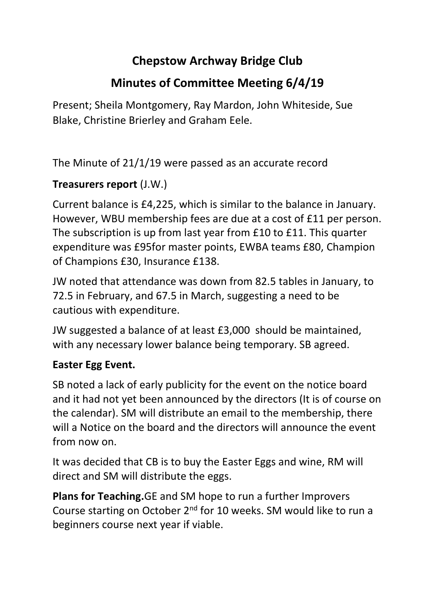## **Chepstow Archway Bridge Club**

# **Minutes of Committee Meeting 6/4/19**

Present; Sheila Montgomery, Ray Mardon, John Whiteside, Sue Blake, Christine Brierley and Graham Eele.

The Minute of 21/1/19 were passed as an accurate record

### **Treasurers report** (J.W.)

Current balance is £4,225, which is similar to the balance in January. However, WBU membership fees are due at a cost of £11 per person. The subscription is up from last year from £10 to £11. This quarter expenditure was £95for master points, EWBA teams £80, Champion of Champions £30, Insurance £138.

JW noted that attendance was down from 82.5 tables in January, to 72.5 in February, and 67.5 in March, suggesting a need to be cautious with expenditure.

JW suggested a balance of at least £3,000 should be maintained, with any necessary lower balance being temporary. SB agreed.

### **Easter Egg Event.**

SB noted a lack of early publicity for the event on the notice board and it had not yet been announced by the directors (It is of course on the calendar). SM will distribute an email to the membership, there will a Notice on the board and the directors will announce the event from now on.

It was decided that CB is to buy the Easter Eggs and wine, RM will direct and SM will distribute the eggs.

**Plans for Teaching.**GE and SM hope to run a further Improvers Course starting on October 2nd for 10 weeks. SM would like to run a beginners course next year if viable.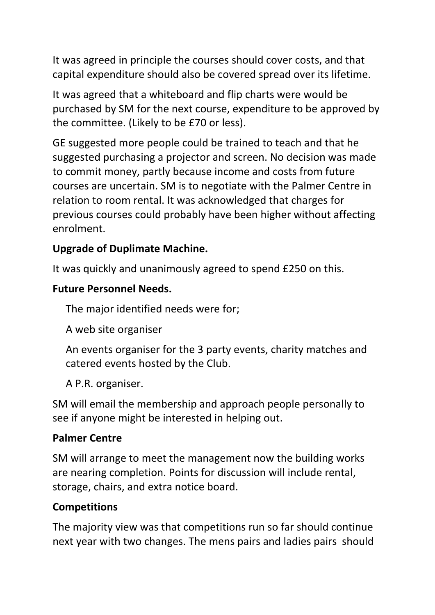It was agreed in principle the courses should cover costs, and that capital expenditure should also be covered spread over its lifetime.

It was agreed that a whiteboard and flip charts were would be purchased by SM for the next course, expenditure to be approved by the committee. (Likely to be £70 or less).

GE suggested more people could be trained to teach and that he suggested purchasing a projector and screen. No decision was made to commit money, partly because income and costs from future courses are uncertain. SM is to negotiate with the Palmer Centre in relation to room rental. It was acknowledged that charges for previous courses could probably have been higher without affecting enrolment.

### **Upgrade of Duplimate Machine.**

It was quickly and unanimously agreed to spend £250 on this.

#### **Future Personnel Needs.**

The major identified needs were for;

A web site organiser

An events organiser for the 3 party events, charity matches and catered events hosted by the Club.

A P.R. organiser.

SM will email the membership and approach people personally to see if anyone might be interested in helping out.

#### **Palmer Centre**

SM will arrange to meet the management now the building works are nearing completion. Points for discussion will include rental, storage, chairs, and extra notice board.

#### **Competitions**

The majority view was that competitions run so far should continue next year with two changes. The mens pairs and ladies pairs should